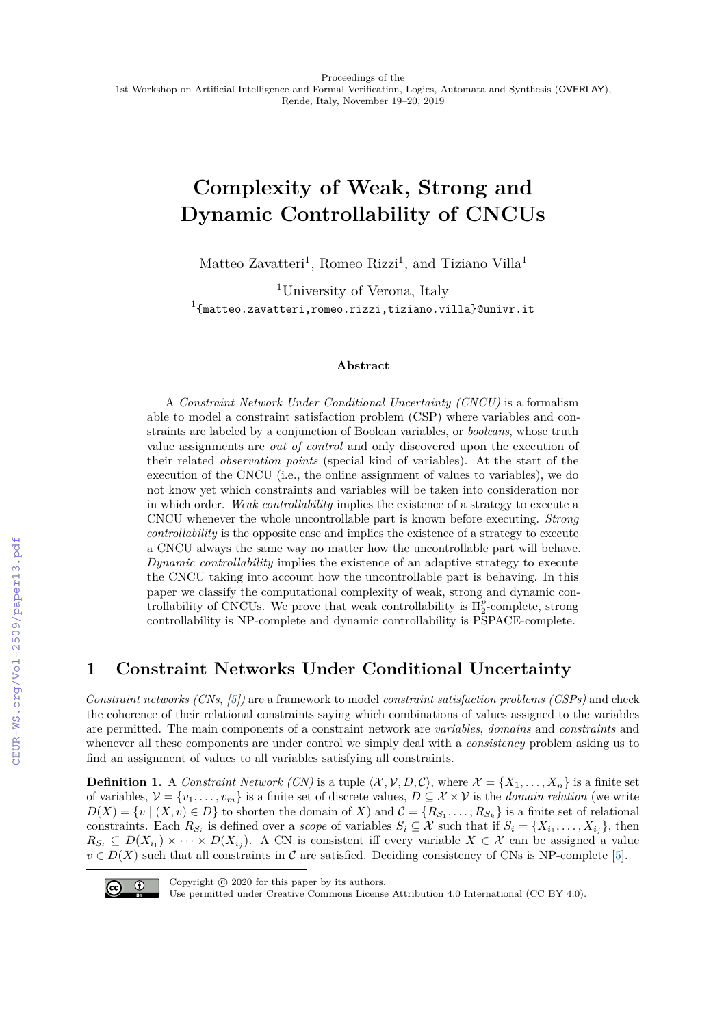# **Complexity of Weak, Strong and Dynamic Controllability of CNCUs**

Matteo Zavatteri<sup>1</sup>, Romeo Rizzi<sup>1</sup>, and Tiziano Villa<sup>1</sup>

<sup>1</sup>University of Verona, Italy  $^{1}$ {matteo.zavatteri,romeo.rizzi,tiziano.villa}@univr.it

#### **Abstract**

A *Constraint Network Under Conditional Uncertainty (CNCU)* is a formalism able to model a constraint satisfaction problem (CSP) where variables and constraints are labeled by a conjunction of Boolean variables, or *booleans*, whose truth value assignments are *out of control* and only discovered upon the execution of their related *observation points* (special kind of variables). At the start of the execution of the CNCU (i.e., the online assignment of values to variables), we do not know yet which constraints and variables will be taken into consideration nor in which order. *Weak controllability* implies the existence of a strategy to execute a CNCU whenever the whole uncontrollable part is known before executing. *Strong controllability* is the opposite case and implies the existence of a strategy to execute a CNCU always the same way no matter how the uncontrollable part will behave. *Dynamic controllability* implies the existence of an adaptive strategy to execute the CNCU taking into account how the uncontrollable part is behaving. In this paper we classify the computational complexity of weak, strong and dynamic controllability of CNCUs. We prove that weak controllability is  $\Pi_2^p$ -complete, strong controllability is NP-complete and dynamic controllability is PSPACE-complete.

# **1 Constraint Networks Under Conditional Uncertainty**

*Constraint networks (CNs, [\[5\]](#page--1-0))* are a framework to model *constraint satisfaction problems (CSPs)* and check the coherence of their relational constraints saying which combinations of values assigned to the variables are permitted. The main components of a constraint network are *variables*, *domains* and *constraints* and whenever all these components are under control we simply deal with a *consistency* problem asking us to find an assignment of values to all variables satisfying all constraints.

**Definition 1.** A *Constraint Network (CN)* is a tuple  $\langle X, V, D, C \rangle$ , where  $\mathcal{X} = \{X_1, \ldots, X_n\}$  is a finite set of variables,  $V = \{v_1, \ldots, v_m\}$  is a finite set of discrete values,  $D \subseteq \mathcal{X} \times \mathcal{V}$  is the *domain relation* (we write  $D(X) = \{v \mid (X, v) \in D\}$  to shorten the domain of X) and  $\mathcal{C} = \{R_{S_1}, \ldots, R_{S_k}\}$  is a finite set of relational constraints. Each  $R_{S_i}$  is defined over a *scope* of variables  $S_i \subseteq \mathcal{X}$  such that if  $S_i = \{X_{i_1}, \ldots, X_{i_j}\}$ , then  $R_{S_i} \subseteq D(X_{i_1}) \times \cdots \times D(X_{i_j})$ . A CN is consistent iff every variable  $X \in \mathcal{X}$  can be assigned a value  $v \in D(X)$  such that all constraints in C are satisfied. Deciding consistency of CNs is NP-complete [\[5\]](#page--1-0).



Copyright  $\odot$  2020 for this paper by its authors.

Use permitted under Creative Commons License Attribution 4.0 International (CC BY 4.0).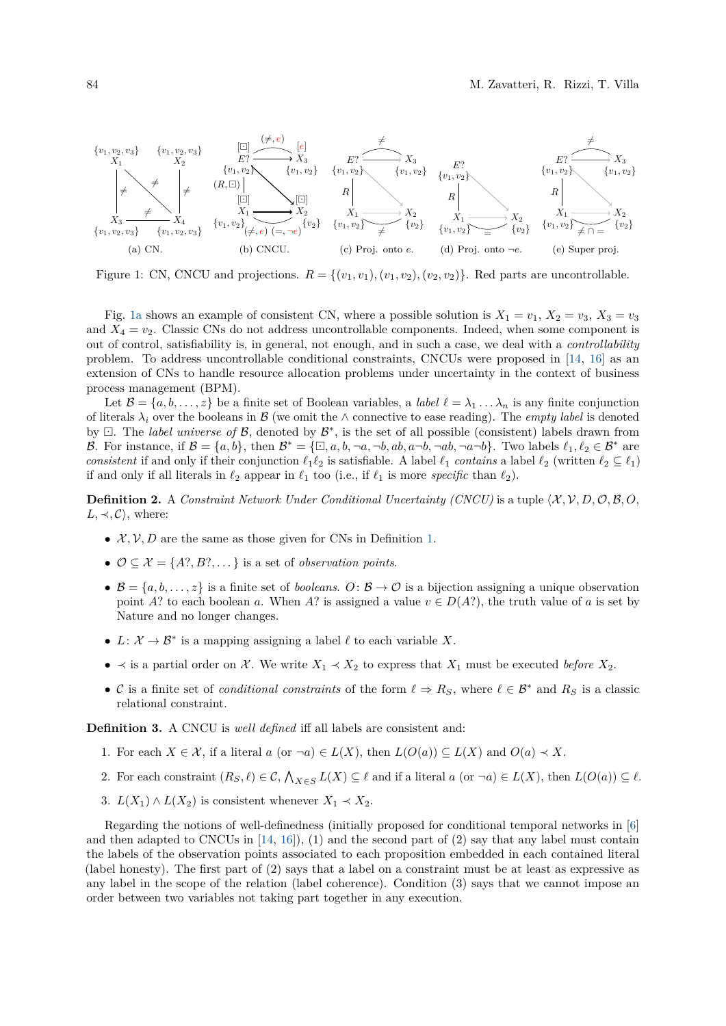<span id="page-1-0"></span>

<span id="page-1-4"></span><span id="page-1-3"></span><span id="page-1-2"></span><span id="page-1-1"></span>Figure 1: CN, CNCU and projections.  $R = \{(v_1, v_1), (v_1, v_2), (v_2, v_2)\}\.$  Red parts are uncontrollable.

Fig. [1a](#page-1-0) shows an example of consistent CN, where a possible solution is  $X_1 = v_1, X_2 = v_3, X_3 = v_3$ and  $X_4 = v_2$ . Classic CNs do not address uncontrollable components. Indeed, when some component is out of control, satisfiability is, in general, not enough, and in such a case, we deal with a *controllability* problem. To address uncontrollable conditional constraints, CNCUs were proposed in [\[14,](#page-5-0) [16\]](#page-5-1) as an extension of CNs to handle resource allocation problems under uncertainty in the context of business process management (BPM).

Let  $\mathcal{B} = \{a, b, \ldots, z\}$  be a finite set of Boolean variables, a *label*  $\ell = \lambda_1 \ldots \lambda_n$  is any finite conjunction of literals  $\lambda_i$  over the booleans in B (we omit the  $\wedge$  connective to ease reading). The *empty label* is denoted by  $\Box$ . The *label universe of*  $\mathcal{B}$ , denoted by  $\mathcal{B}^*$ , is the set of all possible (consistent) labels drawn from B. For instance, if  $\mathcal{B} = \{a, b\}$ , then  $\mathcal{B}^* = \{\Box, a, b, \neg a, \neg b, ab, a\neg b, \neg a, \neg b, \neg a\neg b\}$ . Two labels  $\ell_1, \ell_2 \in \mathcal{B}^*$  are *consistent* if and only if their conjunction  $\ell_1 \ell_2$  is satisfiable. A label  $\ell_1$  *contains* a label  $\ell_2$  (written  $\ell_2 \subseteq \ell_1$ ) if and only if all literals in  $\ell_2$  appear in  $\ell_1$  too (i.e., if  $\ell_1$  is more *specific* than  $\ell_2$ ).

**Definition 2.** A *Constraint Network Under Conditional Uncertainty (CNCU)* is a tuple  $\langle X, V, D, O, B, O, \rangle$  $L, \prec, \mathcal{C}$ , where:

- $\mathcal{X}, \mathcal{V}, D$  are the same as those given for CNs in Definition [1.](#page--1-1)
- $\mathcal{O} \subseteq \mathcal{X} = \{A?, B?, \dots\}$  is a set of *observation points.*
- $\mathcal{B} = \{a, b, \ldots, z\}$  is a finite set of *booleans.*  $O: \mathcal{B} \to \mathcal{O}$  is a bijection assigning a unique observation point *A*? to each boolean *a*. When *A*? is assigned a value  $v \in D(A^2)$ , the truth value of *a* is set by Nature and no longer changes.
- $L: \mathcal{X} \to \mathcal{B}^*$  is a mapping assigning a label  $\ell$  to each variable X.
- $\bullet$   $\prec$  is a partial order on *X*. We write *X*<sub>1</sub>  $\prec$  *X*<sub>2</sub> to express that *X*<sub>1</sub> must be executed *before X*<sub>2</sub>.
- C is a finite set of *conditional constraints* of the form  $\ell \Rightarrow R_S$ , where  $\ell \in \mathcal{B}^*$  and  $R_S$  is a classic relational constraint.

**Definition 3.** A CNCU is *well defined* iff all labels are consistent and:

- 1. For each  $X \in \mathcal{X}$ , if a literal  $a$  (or  $\neg a) \in L(X)$ , then  $L(O(a)) \subseteq L(X)$  and  $O(a) \prec X$ .
- 2. For each constraint  $(R_S, \ell) \in \mathcal{C}, \bigwedge_{X \in S} L(X) \subseteq \ell$  and if a literal  $a$  (or  $\neg a) \in L(X)$ , then  $L(O(a)) \subseteq \ell$ .
- 3.  $L(X_1) \wedge L(X_2)$  is consistent whenever  $X_1 \prec X_2$ .

Regarding the notions of well-definedness (initially proposed for conditional temporal networks in [\[6\]](#page-5-2) and then adapted to CNCUs in  $[14, 16]$  $[14, 16]$  $[14, 16]$ , (1) and the second part of (2) say that any label must contain the labels of the observation points associated to each proposition embedded in each contained literal (label honesty). The first part of (2) says that a label on a constraint must be at least as expressive as any label in the scope of the relation (label coherence). Condition (3) says that we cannot impose an order between two variables not taking part together in any execution.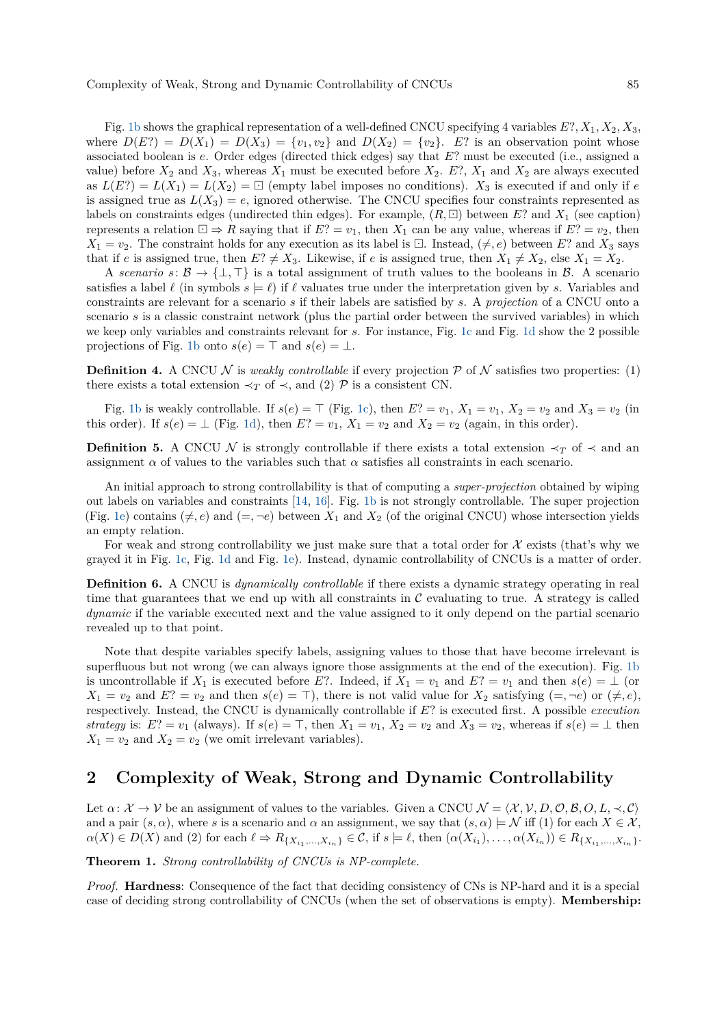Fig. [1b](#page-1-1) shows the graphical representation of a well-defined CNCU specifying 4 variables *E*?*, X*1*, X*2*, X*3, where  $D(E^2) = D(X_1) = D(X_3) = \{v_1, v_2\}$  and  $D(X_2) = \{v_2\}$ . *E*? is an observation point whose associated boolean is *e*. Order edges (directed thick edges) say that *E*? must be executed (i.e., assigned a value) before  $X_2$  and  $X_3$ , whereas  $X_1$  must be executed before  $X_2$ .  $E$ ?,  $X_1$  and  $X_2$  are always executed as  $L(E?) = L(X_1) = L(X_2) = \Box$  (empty label imposes no conditions).  $X_3$  is executed if and only if *e* is assigned true as  $L(X_3) = e$ , ignored otherwise. The CNCU specifies four constraints represented as labels on constraints edges (undirected thin edges). For example,  $(R, \Box)$  between E? and  $X_1$  (see caption) represents a relation  $\Box \Rightarrow R$  saying that if  $E$ ? =  $v_1$ , then  $X_1$  can be any value, whereas if  $E$ ? =  $v_2$ , then  $X_1 = v_2$ . The constraint holds for any execution as its label is  $\Box$ . Instead,  $(\neq, e)$  between *E*? and  $X_3$  says that if *e* is assigned true, then  $E? \neq X_3$ . Likewise, if *e* is assigned true, then  $X_1 \neq X_2$ , else  $X_1 = X_2$ .

A *scenario*  $s: \mathcal{B} \to \{\perp,\top\}$  is a total assignment of truth values to the booleans in  $\mathcal{B}$ . A scenario satisfies a label  $\ell$  (in symbols  $s = \ell$ ) if  $\ell$  valuates true under the interpretation given by *s*. Variables and constraints are relevant for a scenario *s* if their labels are satisfied by *s*. A *projection* of a CNCU onto a scenario *s* is a classic constraint network (plus the partial order between the survived variables) in which we keep only variables and constraints relevant for *s*. For instance, Fig. [1c](#page-1-2) and Fig. [1d](#page-1-3) show the 2 possible projections of Fig. [1b](#page-1-1) onto  $s(e) = \top$  and  $s(e) = \bot$ .

**Definition 4.** A CNCU N is *weakly controllable* if every projection  $P$  of N satisfies two properties: (1) there exists a total extension  $\prec_T$  of  $\prec$ , and (2)  $\mathcal P$  is a consistent CN.

Fig. [1b](#page-1-1) is weakly controllable. If  $s(e) = \top$  (Fig. [1c\)](#page-1-2), then  $E$ ? =  $v_1$ ,  $X_1 = v_1$ ,  $X_2 = v_2$  and  $X_3 = v_2$  (in this order). If  $s(e) = \bot$  (Fig. [1d\)](#page-1-3), then  $E$ ? =  $v_1$ ,  $X_1 = v_2$  and  $X_2 = v_2$  (again, in this order).

**Definition 5.** A CNCU N is strongly controllable if there exists a total extension  $\prec_T$  of  $\prec$  and an assignment  $\alpha$  of values to the variables such that  $\alpha$  satisfies all constraints in each scenario.

An initial approach to strong controllability is that of computing a *super-projection* obtained by wiping out labels on variables and constraints [\[14,](#page-5-0) [16\]](#page-5-1). Fig. [1b](#page-1-1) is not strongly controllable. The super projection (Fig. [1e\)](#page-1-4) contains  $(\neq, e)$  and  $(=, \neg e)$  between  $X_1$  and  $X_2$  (of the original CNCU) whose intersection yields an empty relation.

For weak and strong controllability we just make sure that a total order for  $\mathcal X$  exists (that's why we grayed it in Fig. [1c,](#page-1-2) Fig. [1d](#page-1-3) and Fig. [1e\)](#page-1-4). Instead, dynamic controllability of CNCUs is a matter of order.

**Definition 6.** A CNCU is *dynamically controllable* if there exists a dynamic strategy operating in real time that guarantees that we end up with all constraints in  $\mathcal C$  evaluating to true. A strategy is called *dynamic* if the variable executed next and the value assigned to it only depend on the partial scenario revealed up to that point.

Note that despite variables specify labels, assigning values to those that have become irrelevant is superfluous but not wrong (we can always ignore those assignments at the end of the execution). Fig. [1b](#page-1-1) is uncontrollable if  $X_1$  is executed before *E*?. Indeed, if  $X_1 = v_1$  and  $E$ ? =  $v_1$  and then  $s(e) = \perp$  (or  $X_1 = v_2$  and  $E$ ? =  $v_2$  and then  $s(e) = \top$ , there is not valid value for  $X_2$  satisfying  $(=, \neg e)$  or  $(\neq, e)$ , respectively. Instead, the CNCU is dynamically controllable if *E*? is executed first. A possible *execution strategy* is:  $E$ ? =  $v_1$  (always). If  $s(e) = \top$ , then  $X_1 = v_1$ ,  $X_2 = v_2$  and  $X_3 = v_2$ , whereas if  $s(e) = \bot$  then  $X_1 = v_2$  and  $X_2 = v_2$  (we omit irrelevant variables).

# **2 Complexity of Weak, Strong and Dynamic Controllability**

Let  $\alpha: \mathcal{X} \to \mathcal{V}$  be an assignment of values to the variables. Given a CNCU  $\mathcal{N} = \langle \mathcal{X}, \mathcal{V}, D, \mathcal{O}, \mathcal{B}, O, L, \prec, \mathcal{C} \rangle$ and a pair  $(s, \alpha)$ , where *s* is a scenario and  $\alpha$  an assignment, we say that  $(s, \alpha) \models \mathcal{N}$  iff (1) for each  $X \in \mathcal{X}$ ,  $\alpha(X) \in D(X)$  and (2) for each  $\ell \Rightarrow R_{\{X_{i_1},...,X_{i_n}\}} \in \mathcal{C}$ , if  $s \models \ell$ , then  $(\alpha(X_{i_1}),...,\alpha(X_{i_n})) \in R_{\{X_{i_1},...,X_{i_n}\}}$ .

**Theorem 1.** *Strong controllability of CNCUs is NP-complete.*

*Proof.* **Hardness**: Consequence of the fact that deciding consistency of CNs is NP-hard and it is a special case of deciding strong controllability of CNCUs (when the set of observations is empty). **Membership:**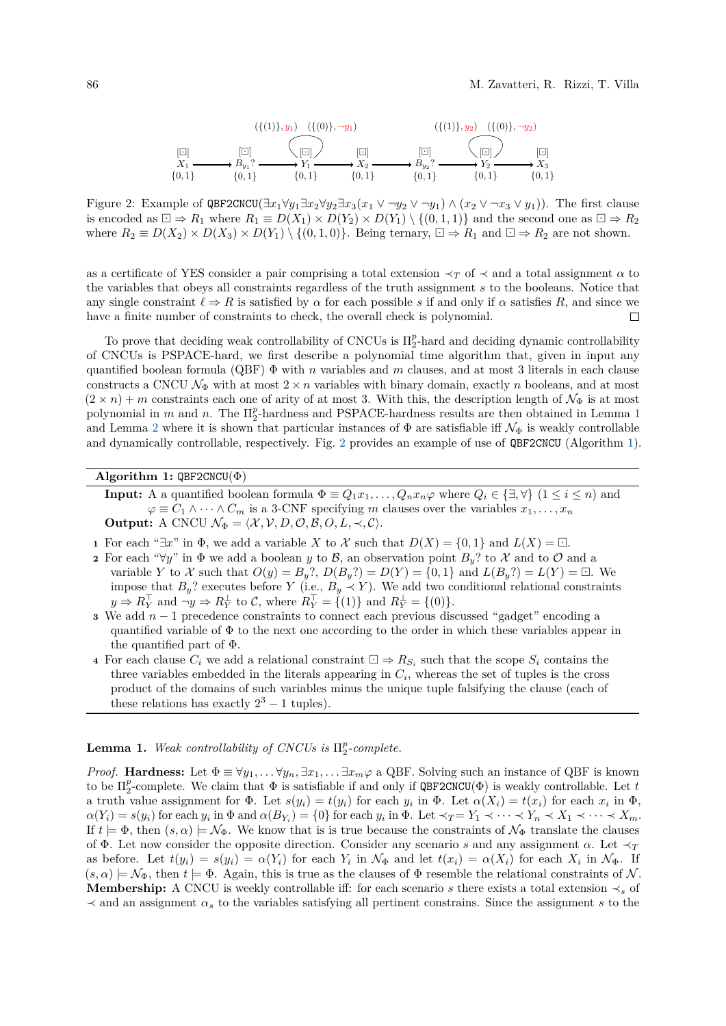<span id="page-3-1"></span>*X*<sup>1</sup> [] {0*,* 1} *B<sup>y</sup>*<sup>1</sup> ? [] {0*,* 1} *Y*1 [] {0*,* 1} *X*<sup>2</sup> [] {0*,* 1} *B<sup>y</sup>*<sup>2</sup> ? [] {0*,* 1} *Y*2 [] {0*,* 1} *X*<sup>3</sup> [] {0*,* 1} ({(1)}*, y*1) ({(0)}*,* ¬*y*1) ({(1)}*, y*2) ({(0)}*,* ¬*y*2)

Figure 2: Example of QBF2CNCU( $\exists x_1 \forall y_1 \exists x_2 \forall y_2 \exists x_3(x_1 \vee \neg y_2 \vee \neg y_1) \wedge (x_2 \vee \neg x_3 \vee y_1)$ ). The first clause is encoded as  $\Box \Rightarrow R_1$  where  $R_1 \equiv D(X_1) \times D(Y_2) \times D(Y_1) \setminus \{(0,1,1)\}\$  and the second one as  $\Box \Rightarrow R_2$ where  $R_2 \equiv D(X_2) \times D(X_3) \times D(Y_1) \setminus \{(0,1,0)\}\)$ . Being ternary,  $\Box \Rightarrow R_1$  and  $\Box \Rightarrow R_2$  are not shown.

as a certificate of YES consider a pair comprising a total extension  $\prec_T$  of  $\prec$  and a total assignment  $\alpha$  to the variables that obeys all constraints regardless of the truth assignment *s* to the booleans. Notice that any single constraint  $\ell \Rightarrow R$  is satisfied by  $\alpha$  for each possible *s* if and only if  $\alpha$  satisfies *R*, and since we have a finite number of constraints to check, the overall check is polynomial.  $\Box$ 

To prove that deciding weak controllability of CNCUs is  $\Pi_2^p$ -hard and deciding dynamic controllability of CNCUs is PSPACE-hard, we first describe a polynomial time algorithm that, given in input any quantified boolean formula (QBF) Φ with *n* variables and *m* clauses, and at most 3 literals in each clause constructs a CNCU  $\mathcal{N}_{\Phi}$  with at most  $2 \times n$  variables with binary domain, exactly *n* booleans, and at most  $(2 \times n) + m$  constraints each one of arity of at most 3. With this, the description length of  $\mathcal{N}_{\Phi}$  is at most polynomial in  $m$  and  $n$ . The  $\Pi_2^p$ -hardness and PSPACE-hardness results are then obtained in Lemma [1](#page-3-0) and Lemma [2](#page-4-0) where it is shown that particular instances of  $\Phi$  are satisfiable iff  $\mathcal{N}_{\Phi}$  is weakly controllable and dynamically controllable, respectively. Fig. [2](#page-3-1) provides an example of use of QBF2CNCU (Algorithm [1\)](#page-3-2).

#### **Algorithm 1:** QBF2CNCU(Φ)

<span id="page-3-2"></span>**Input:** A a quantified boolean formula  $\Phi \equiv Q_1 x_1, \ldots, Q_n x_n \varphi$  where  $Q_i \in \{\exists, \forall\}$   $(1 \leq i \leq n)$  and  $\varphi \equiv C_1 \wedge \cdots \wedge C_m$  is a 3-CNF specifying *m* clauses over the variables  $x_1, \ldots, x_n$ **Output:** A CNCU  $\mathcal{N}_{\Phi} = \langle \mathcal{X}, \mathcal{V}, D, \mathcal{O}, \mathcal{B}, O, L, \prec, \mathcal{C} \rangle$ .

- **1** For each " $\exists x$ " in  $\Phi$ , we add a variable *X* to *X* such that  $D(X) = \{0, 1\}$  and  $L(X) = \Box$ .
- **2** For each " $\forall y$ " in  $\Phi$  we add a boolean *y* to *B*, an observation point  $B_y$ ? to X and to  $\mathcal{O}$  and a variable *Y* to *X* such that  $O(y) = B_y$ ?,  $D(B_y$ ?) =  $D(Y) = \{0, 1\}$  and  $L(B_y$ ?) =  $L(Y) = \Box$ . We impose that  $B_y$ ? executes before *Y* (i.e.,  $B_y \prec Y$ ). We add two conditional relational constraints  $y \Rightarrow R_Y^{\top}$  and  $\neg y \Rightarrow R_Y^{\perp}$  to C, where  $R_Y^{\top} = \{(1)\}$  and  $R_Y^{\perp} = \{(0)\}.$
- **<sup>3</sup>** We add *n* − 1 precedence constraints to connect each previous discussed "gadget" encoding a quantified variable of Φ to the next one according to the order in which these variables appear in the quantified part of Φ.
- **4** For each clause  $C_i$  we add a relational constraint  $\Box \Rightarrow R_{S_i}$  such that the scope  $S_i$  contains the three variables embedded in the literals appearing in  $C_i$ , whereas the set of tuples is the cross product of the domains of such variables minus the unique tuple falsifying the clause (each of these relations has exactly  $2^3 - 1$  tuples).

# <span id="page-3-0"></span>**Lemma 1.** *Weak controllability of CNCUs is*  $\Pi_2^p$ -complete.

*Proof.* **Hardness:** Let  $\Phi \equiv \forall y_1, \ldots \forall y_n, \exists x_1, \ldots \exists x_m \varphi$  a QBF. Solving such an instance of QBF is known to be  $\Pi_2^p$ -complete. We claim that  $\Phi$  is satisfiable if and only if  $\mathsf{QBF2CNCU}(\Phi)$  is weakly controllable. Let *t* a truth value assignment for  $\Phi$ . Let  $s(y_i) = t(y_i)$  for each  $y_i$  in  $\Phi$ . Let  $\alpha(X_i) = t(x_i)$  for each  $x_i$  in  $\Phi$ ,  $\alpha(Y_i) = s(y_i)$  for each  $y_i$  in  $\Phi$  and  $\alpha(B_{Y_i}) = \{0\}$  for each  $y_i$  in  $\Phi$ . Let  $\prec_T = Y_1 \prec \cdots \prec Y_n \prec X_1 \prec \cdots \prec X_m$ . If  $t \models \Phi$ , then  $(s, \alpha) \models \mathcal{N}_{\Phi}$ . We know that is is true because the constraints of  $\mathcal{N}_{\Phi}$  translate the clauses of Φ. Let now consider the opposite direction. Consider any scenario *s* and any assignment *α*. Let ≺*<sup>T</sup>* as before. Let  $t(y_i) = s(y_i) = \alpha(Y_i)$  for each  $Y_i$  in  $\mathcal{N}_{\Phi}$  and let  $t(x_i) = \alpha(X_i)$  for each  $X_i$  in  $\mathcal{N}_{\Phi}$ . If  $(s, \alpha) \models \mathcal{N}_{\Phi}$ , then  $t \models \Phi$ . Again, this is true as the clauses of  $\Phi$  resemble the relational constraints of N. **Membership:** A CNCU is weekly controllable iff: for each scenario *s* there exists a total extension  $\prec_s$  of  $\prec$  and an assignment  $\alpha_s$  to the variables satisfying all pertinent constrains. Since the assignment *s* to the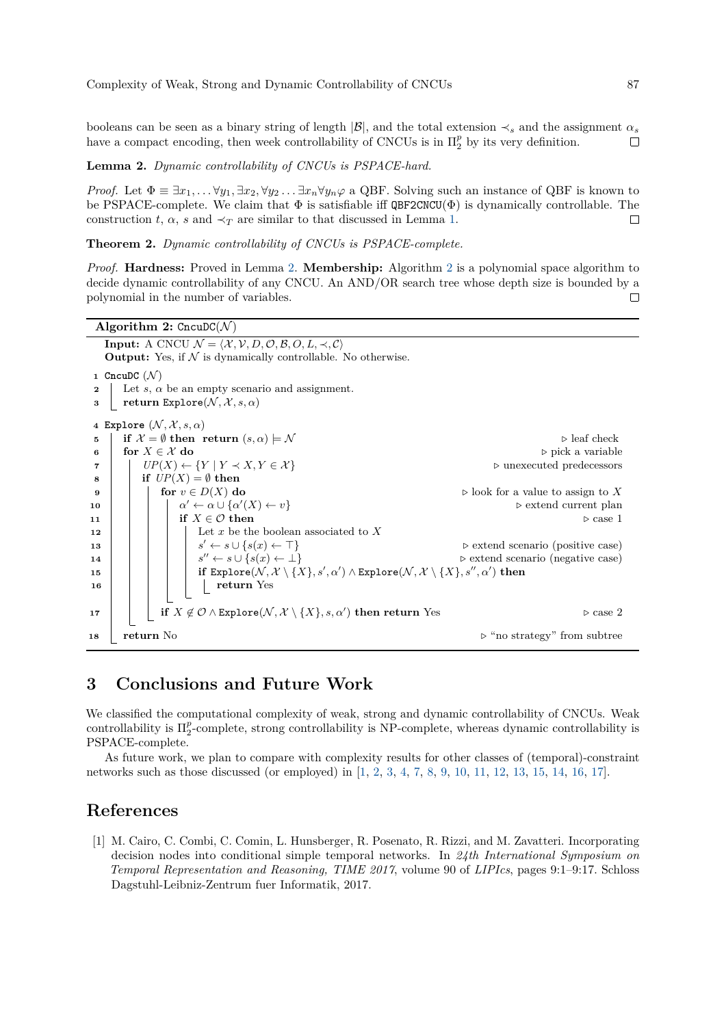booleans can be seen as a binary string of length  $|\mathcal{B}|$ , and the total extension  $\prec_s$  and the assignment  $\alpha_s$ have a compact encoding, then week controllability of CNCUs is in  $\Pi_2^p$  by its very definition.  $\Box$ 

#### <span id="page-4-0"></span>**Lemma 2.** *Dynamic controllability of CNCUs is PSPACE-hard.*

*Proof.* Let  $\Phi \equiv \exists x_1, \ldots \forall y_1, \exists x_2, \forall y_2 \ldots \exists x_n \forall y_n \varphi$  a QBF. Solving such an instance of QBF is known to be PSPACE-complete. We claim that  $\Phi$  is satisfiable iff  $\mathsf{QBF2CNCU}(\Phi)$  is dynamically controllable. The construction *t*,  $\alpha$ , *s* and  $\prec_T$  are similar to that discussed in Lemma [1.](#page-3-0)  $\Box$ 

**Theorem 2.** *Dynamic controllability of CNCUs is PSPACE-complete.*

*Proof.* **Hardness:** Proved in Lemma [2.](#page-4-0) **Membership:** Algorithm [2](#page-4-1) is a polynomial space algorithm to decide dynamic controllability of any CNCU. An AND/OR search tree whose depth size is bounded by a polynomial in the number of variables.  $\Box$ 

```
Algorithm 2: \text{Crc} \cup \text{C}(\mathcal{N})Input: A CNCU \mathcal{N} = \langle \mathcal{X}, \mathcal{V}, D, \mathcal{O}, \mathcal{B}, O, L, \prec, \mathcal{C} \rangleOutput: Yes, if N is dynamically controllable. No otherwise.
 1 CncuDC (N)2 Let s, α be an empty scenario and assignment.
 3 return Explore(N, \mathcal{X}, s, \alpha)4 Explore (\mathcal{N}, \mathcal{X}, s, \alpha)5 if \mathcal{X} = \emptyset then return (s, \alpha) \models \mathcal{N} . \triangleright leaf check
 6 for X \in \mathcal{X} do p pick a variable
 7 UP(X) ← {Y | Y \prec X, Y \in X} b unexecuted predecessors
 8 if UP(X) = \emptyset then
 9 for v \in D(X) do b b look for a value to assign to X
10 α
                       \alpha' \leftarrow \alpha \cup \{\alpha'(X) ← v} . extend current plan
11 if X \in \mathcal{O} then \triangleright case 1
12 | | | Let x be the boolean associated to X
13 s
                          s' \leftarrow s \cup \{s(x) \leftarrow \top\} \triangleright extend scenario (positive case)
14 s
                          s'' \leftarrow s \cup \{s(x) \leftarrow \bot\} > extend scenario (negative case)
\bf{15} \vert \vert \vert \vert \vert \vert \bf{16} Explore(\cal{N}, \cal{X} \setminus \{X\}, s', \alpha') \land \text{Explore}(\cal{N}, \cal{X} \setminus \{X\}, s'', \alpha') \text{ then}16 return Yes
\begin{array}{|c|c|c|c|c|}\n\hline\n\textbf{17} & & \textbf{if} \; X \not\in \mathcal{O} \land \texttt{Explore}(\mathcal{N}, \mathcal{X} \setminus \{X\}, s, \alpha') \textbf{ then return Yes} & & \textbf{if} \; X \not\in \mathcal{O} \land \texttt{Explore}(\mathcal{N}, \mathcal{X} \setminus \{X\}, s, \alpha')\textbf{ then return Yes} & & \textbf{if} \; X \not\in \mathcal{O} \land \texttt{Explore}(\mathcal{N}, \mathcal{X} \setminus \{X\}, s, \alpha')\textbf{ then return Yes} & & \18 return No ... <b>return No ... p "no strategy" from subtree
```
## **3 Conclusions and Future Work**

We classified the computational complexity of weak, strong and dynamic controllability of CNCUs. Weak controllability is Π *p* 2 -complete, strong controllability is NP-complete, whereas dynamic controllability is PSPACE-complete.

As future work, we plan to compare with complexity results for other classes of (temporal)-constraint networks such as those discussed (or employed) in [\[1,](#page-4-2) [2,](#page-5-3) [3,](#page-5-4) [4,](#page-5-5) [7,](#page-5-6) [8,](#page-5-7) [9,](#page-5-8) [10,](#page-5-9) [11,](#page-5-10) [12,](#page-5-11) [13,](#page-5-12) [15,](#page-5-13) [14,](#page-5-0) [16,](#page-5-1) [17\]](#page-5-14).

## **References**

<span id="page-4-2"></span>[1] M. Cairo, C. Combi, C. Comin, L. Hunsberger, R. Posenato, R. Rizzi, and M. Zavatteri. Incorporating decision nodes into conditional simple temporal networks. In *24th International Symposium on Temporal Representation and Reasoning, TIME 2017*, volume 90 of *LIPIcs*, pages 9:1–9:17. Schloss Dagstuhl-Leibniz-Zentrum fuer Informatik, 2017.